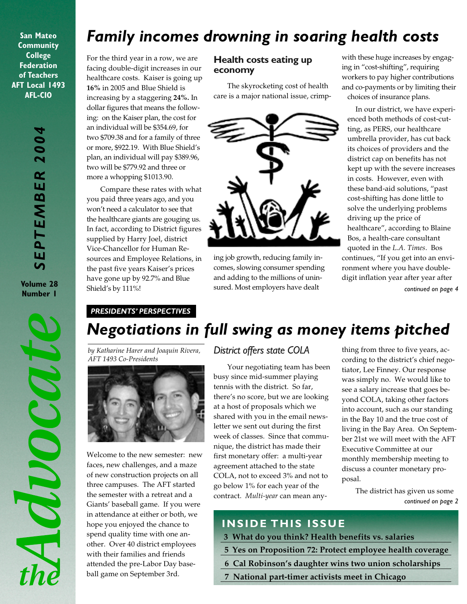**San Mateo Community College Federation of Teachers AFT Local 1493 AFL-CIO**

**Volume 28 Number 1**

Advocat

 $th\rho$ 

# *Family incomes drowning in soaring health costs*

For the third year in a row, we are facing double-digit increases in our healthcare costs. Kaiser is going up **16%** in 2005 and Blue Shield is increasing by a staggering **24%.** In dollar figures that means the following: on the Kaiser plan, the cost for an individual will be \$354.69, for two \$709.38 and for a family of three or more, \$922.19. With Blue Shield's plan, an individual will pay \$389.96, two will be \$779.92 and three or more a whopping \$1013.90.

Compare these rates with what you paid three years ago, and you won't need a calculator to see that the healthcare giants are gouging us. In fact, according to District figures supplied by Harry Joel, district Vice-Chancellor for Human Resources and Employee Relations, in the past five years Kaiser's prices have gone up by 92.7% and Blue Shield's by 111%!

### **Health costs eating up economy**

The skyrocketing cost of health care is a major national issue, crimp-



ing job growth, reducing family incomes, slowing consumer spending and adding to the millions of unin-

with these huge increases by engaging in "cost-shifting", requiring workers to pay higher contributions and co-payments or by limiting their choices of insurance plans.

In our district, we have experienced both methods of cost-cutting, as PERS, our healthcare umbrella provider, has cut back its choices of providers and the district cap on benefits has not kept up with the severe increases in costs. However, even with these band-aid solutions, "past cost-shifting has done little to solve the underlying problems driving up the price of healthcare", according to Blaine Bos, a health-care consultant quoted in the *L.A. Times*. Bos continues, "If you get into an environment where you have doubledigit inflation year after year after sured. Most employers have dealt *continued on page 4*

### *PRESIDENTS' PERSPECTIVES*

# *Negotiations in full swing as money items pitched*

*by Katharine Harer and Joaquin Rivera, AFT 1493 Co-Presidents*



Welcome to the new semester: new faces, new challenges, and a maze of new construction projects on all three campuses. The AFT started the semester with a retreat and a Giants' baseball game. If you were in attendance at either or both, we hope you enjoyed the chance to spend quality time with one another. Over 40 district employees with their families and friends attended the pre-Labor Day baseball game on September 3rd.

### *District offers state COLA*

Your negotiating team has been busy since mid-summer playing tennis with the district. So far, there's no score, but we are looking at a host of proposals which we shared with you in the email newsletter we sent out during the first week of classes. Since that communique, the district has made their first monetary offer: a multi-year agreement attached to the state COLA, not to exceed 3% and not to go below 1% for each year of the contract. *Multi-year* can mean any-

thing from three to five years, according to the district's chief negotiator, Lee Finney. Our response was simply no. We would like to see a salary increase that goes beyond COLA, taking other factors into account, such as our standing in the Bay 10 and the true cost of living in the Bay Area. On September 21st we will meet with the AFT Executive Committee at our monthly membership meeting to discuss a counter monetary proposal.

> *continued on page 2* The district has given us some

## **INSIDE THIS ISSUE**

- **3 What do you think? Health benefits vs. salaries**
- **5 Yes on Proposition 72: Protect employee health coverage**
- **6 Cal Robinson's daughter wins two union scholarships**
- **7 National part-timer activists meet in Chicago**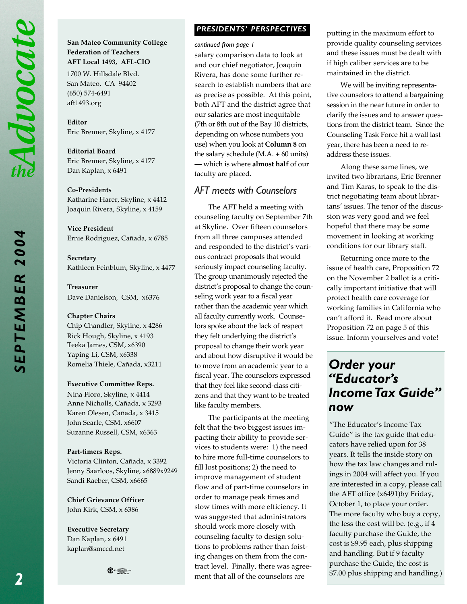*SEPTEMBER 2004*

**SEPTEMBER 2004** 

#### **San Mateo Community College Federation of Teachers AFT Local 1493, AFL-CIO**

1700 W. Hillsdale Blvd. San Mateo, CA 94402 (650) 574-6491 aft1493.org

**Editor** Eric Brenner, Skyline, x 4177

**Editorial Board** Eric Brenner, Skyline, x 4177 Dan Kaplan, x 6491

#### **Co-Presidents**

Katharine Harer, Skyline, x 4412 Joaquin Rivera, Skyline, x 4159

**Vice President** Ernie Rodriguez, Cañada, x 6785

**Secretary** Kathleen Feinblum, Skyline, x 4477

**Treasurer** Dave Danielson, CSM, x6376

#### **Chapter Chairs**

Chip Chandler, Skyline, x 4286 Rick Hough, Skyline, x 4193 Teeka James, CSM, x6390 Yaping Li, CSM, x6338 Romelia Thiele, Cañada, x3211

#### **Executive Committee Reps.**

Nina Floro, Skyline, x 4414 Anne Nicholls, Cañada, x 3293 Karen Olesen, Cañada, x 3415 John Searle, CSM, x6607 Suzanne Russell, CSM, x6363

#### **Part-timers Reps.**

Victoria Clinton, Cañada, x 3392 Jenny Saarloos, Skyline, x6889x9249 Sandi Raeber, CSM, x6665

**Chief Grievance Officer** John Kirk, CSM, x 6386

**Executive Secretary** Dan Kaplan, x 6491 kaplan@smccd.net



### *PRESIDENTS' PERSPECTIVES PRESIDENTS' PERSPECTIVES*

*continued from page 1*

salary comparison data to look at and our chief negotiator, Joaquin Rivera, has done some further research to establish numbers that are as precise as possible. At this point, both AFT and the district agree that our salaries are most inequitable (7th or 8th out of the Bay 10 districts, depending on whose numbers you use) when you look at **Column 8** on the salary schedule  $(M.A. + 60$  units) — which is where **almost half** of our faculty are placed.

### *AFT meets with Counselors*

The AFT held a meeting with counseling faculty on September 7th at Skyline. Over fifteen counselors from all three campuses attended and responded to the district's various contract proposals that would seriously impact counseling faculty. The group unanimously rejected the district's proposal to change the counseling work year to a fiscal year rather than the academic year which all faculty currently work. Counselors spoke about the lack of respect they felt underlying the district's proposal to change their work year and about how disruptive it would be to move from an academic year to a fiscal year. The counselors expressed that they feel like second-class citizens and that they want to be treated like faculty members.

The participants at the meeting felt that the two biggest issues impacting their ability to provide services to students were: 1) the need to hire more full-time counselors to fill lost positions; 2) the need to improve management of student flow and of part-time counselors in order to manage peak times and slow times with more efficiency. It was suggested that administrators should work more closely with counseling faculty to design solutions to problems rather than foisting changes on them from the contract level. Finally, there was agreement that all of the counselors are

putting in the maximum effort to provide quality counseling services and these issues must be dealt with if high caliber services are to be maintained in the district.

We will be inviting representative counselors to attend a bargaining session in the near future in order to clarify the issues and to answer questions from the district team. Since the Counseling Task Force hit a wall last year, there has been a need to readdress these issues.

Along these same lines, we invited two librarians, Eric Brenner and Tim Karas, to speak to the district negotiating team about librarians' issues. The tenor of the discussion was very good and we feel hopeful that there may be some movement in looking at working conditions for our library staff.

Returning once more to the issue of health care, Proposition 72 on the November 2 ballot is a critically important initiative that will protect health care coverage for working families in California who can't afford it. Read more about Proposition 72 on page 5 of this issue. Inform yourselves and vote!

# *Order your "Educator's Income Tax Guide" now*

"The Educator's Income Tax Guide" is the tax guide that educators have relied upon for 38 years. It tells the inside story on how the tax law changes and rulings in 2004 will affect you. If you are interested in a copy, please call the AFT office (x6491)by Friday, October 1, to place your order. The more faculty who buy a copy, the less the cost will be. (e.g., if 4 faculty purchase the Guide, the cost is \$9.95 each, plus shipping and handling. But if 9 faculty purchase the Guide, the cost is \$7.00 plus shipping and handling.)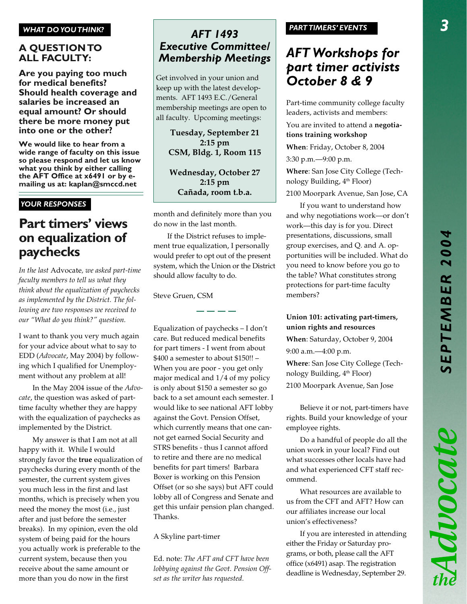#### *WHAT DO YOU THINK?*

### **A QUESTION TO ALL FACULTY:**

**Are you paying too much for medical benefits? Should health coverage and salaries be increased an equal amount? Or should there be more money put into one or the other?**

**We would like to hear from a wide range of faculty on this issue so please respond and let us know what you think by either calling the AFT Office at x6491 or by emailing us at: kaplan@smccd.net**

### *YOUR RESPONSES*

# **Part timers' views on equalization of paychecks**

*In the last* Advocate*, we asked part-time faculty members to tell us what they think about the equalization of paychecks as implemented by the District. The following are two responses we received to our "What do you think?" question.*

I want to thank you very much again for your advice about what to say to EDD (*Advocate*, May 2004) by following which I qualified for Unemployment without any problem at all!

In the May 2004 issue of the *Advocate*, the question was asked of parttime faculty whether they are happy with the equalization of paychecks as implemented by the District.

My answer is that I am not at all happy with it. While I would strongly favor the **true** equalization of paychecks during every month of the semester, the current system gives you much less in the first and last months, which is precisely when you need the money the most (i.e., just after and just before the semester breaks). In my opinion, even the old system of being paid for the hours you actually work is preferable to the current system, because then you receive about the same amount or more than you do now in the first

### *AFT 1493 Executive Committee/ Membership Meetings*

Get involved in your union and keep up with the latest developments. AFT 1493 E.C./General membership meetings are open to all faculty. Upcoming meetings:

> **Tuesday, September 21 2:15 pm CSM, Bldg. 1, Room 115**

> **Wednesday, October 27 2:15 pm Cañada, room t.b.a.**

month and definitely more than you do now in the last month.

If the District refuses to implement true equalization, I personally would prefer to opt out of the present system, which the Union or the District should allow faculty to do.

Steve Gruen, CSM

Equalization of paychecks – I don't care. But reduced medical benefits for part timers - I went from about \$400 a semester to about \$150!! – When you are poor - you get only major medical and 1/4 of my policy is only about \$150 a semester so go back to a set amount each semester. I would like to see national AFT lobby against the Govt. Pension Offset, which currently means that one cannot get earned Social Security and STRS benefits - thus I cannot afford to retire and there are no medical benefits for part timers! Barbara Boxer is working on this Pension Offset (or so she says) but AFT could lobby all of Congress and Senate and get this unfair pension plan changed. Thanks.

A Skyline part-timer

Ed. note: *The AFT and CFT have been lobbying against the Govt. Pension Offset as the writer has requested.*

#### *PARTTIMERS' EVENTS*

# *AFT Workshops for part timer activists October 8 & 9*

Part-time community college faculty leaders, activists and members:

You are invited to attend a **negotiations training workshop**

**When**: Friday, October 8, 2004

3:30 p.m.—9:00 p.m.

**Where**: San Jose City College (Technology Building, 4<sup>th</sup> Floor)

2100 Moorpark Avenue, San Jose, CA

If you want to understand how and why negotiations work—or don't work—this day is for you. Direct presentations, discussions, small group exercises, and Q. and A. opportunities will be included. What do you need to know before you go to the table? What constitutes strong protections for part-time faculty members?

#### **Union 101: activating part-timers, union rights and resources**

**When**: Saturday, October 9, 2004

9:00 a.m.—4:00 p.m.

**Where**: San Jose City College (Technology Building, 4<sup>th</sup> Floor)

2100 Moorpark Avenue, San Jose

Believe it or not, part-timers have rights. Build your knowledge of your employee rights.

Do a handful of people do all the union work in your local? Find out what successes other locals have had and what experienced CFT staff recommend.

What resources are available to us from the CFT and AFT? How can our affiliates increase our local union's effectiveness?

If you are interested in attending either the Friday or Saturday programs, or both, please call the AFT office (x6491) asap. The registration deadline is Wednesday, September 29.

Advocate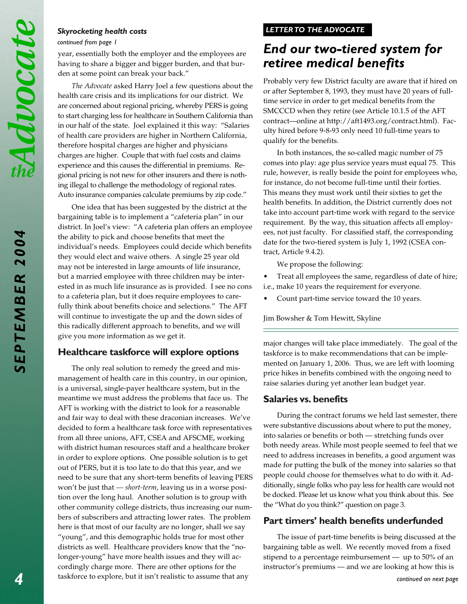*SEPTEMBER 2004*

SEPTEMBER 2004

#### *Skyrocketing health costs*

#### *continued from page 1*

year, essentially both the employer and the employees are having to share a bigger and bigger burden, and that burden at some point can break your back."

*The Advocate* asked Harry Joel a few questions about the health care crisis and its implications for our district. We are concerned about regional pricing, whereby PERS is going to start charging less for healthcare in Southern California than in our half of the state. Joel explained it this way: "Salaries of health care providers are higher in Northern California, therefore hospital charges are higher and physicians charges are higher. Couple that with fuel costs and claims experience and this causes the differential in premiums. Regional pricing is not new for other insurers and there is nothing illegal to challenge the methodology of regional rates. Auto insurance companies calculate premiums by zip code."

One idea that has been suggested by the district at the bargaining table is to implement a "cafeteria plan" in our district. In Joel's view: "A cafeteria plan offers an employee the ability to pick and choose benefits that meet the individual's needs. Employees could decide which benefits they would elect and waive others. A single 25 year old may not be interested in large amounts of life insurance, but a married employee with three children may be interested in as much life insurance as is provided. I see no cons to a cafeteria plan, but it does require employees to carefully think about benefits choice and selections." The AFT will continue to investigate the up and the down sides of this radically different approach to benefits, and we will give you more information as we get it.

### **Healthcare taskforce will explore options**

The only real solution to remedy the greed and mismanagement of health care in this country, in our opinion, is a universal, single-payer healthcare system, but in the meantime we must address the problems that face us. The AFT is working with the district to look for a reasonable and fair way to deal with these draconian increases. We've decided to form a healthcare task force with representatives from all three unions, AFT, CSEA and AFSCME, working with district human resources staff and a healthcare broker in order to explore options. One possible solution is to get out of PERS, but it is too late to do that this year, and we need to be sure that any short-term benefits of leaving PERS won't be just that *— short-term*, leaving us in a worse position over the long haul. Another solution is to group with other community college districts, thus increasing our numbers of subscribers and attracting lower rates. The problem here is that most of our faculty are no longer, shall we say "young", and this demographic holds true for most other districts as well. Healthcare providers know that the "nolonger-young" have more health issues and they will accordingly charge more. There are other options for the taskforce to explore, but it isn't realistic to assume that any

### *LETTER TO THE ADVOCATE*

# *End our two-tiered system for retiree medical benefits*

Probably very few District faculty are aware that if hired on or after September 8, 1993, they must have 20 years of fulltime service in order to get medical benefits from the SMCCCD when they retire (see Article 10.1.5 of the AFT contract—online at http://aft1493.org/contract.html). Faculty hired before 9-8-93 only need 10 full-time years to qualify for the benefits.

In both instances, the so-called magic number of 75 comes into play: age plus service years must equal 75. This rule, however, is really beside the point for employees who, for instance, do not become full-time until their forties. This means they must work until their sixties to get the health benefits. In addition, the District currently does not take into account part-time work with regard to the service requirement. By the way, this situation affects all employees, not just faculty. For classified staff, the corresponding date for the two-tiered system is July 1, 1992 (CSEA contract, Article 9.4.2).

We propose the following:

- Treat all employees the same, regardless of date of hire; i.e., make 10 years the requirement for everyone.
- Count part-time service toward the 10 years.

Jim Bowsher & Tom Hewitt, Skyline

major changes will take place immediately. The goal of the taskforce is to make recommendations that can be implemented on January 1, 2006. Thus, we are left with looming price hikes in benefits combined with the ongoing need to raise salaries during yet another lean budget year.

### **Salaries vs. benefits**

During the contract forums we held last semester, there were substantive discussions about where to put the money, into salaries or benefits or both — stretching funds over both needy areas. While most people seemed to feel that we need to address increases in benefits, a good argument was made for putting the bulk of the money into salaries so that people could choose for themselves what to do with it. Additionally, single folks who pay less for health care would not be docked. Please let us know what you think about this. See the "What do you think?" question on page 3.

### **Part timers' health benefits underfunded**

The issue of part-time benefits is being discussed at the bargaining table as well. We recently moved from a fixed stipend to a percentage reimbursement — up to 50% of an instructor's premiums — and we are looking at how this is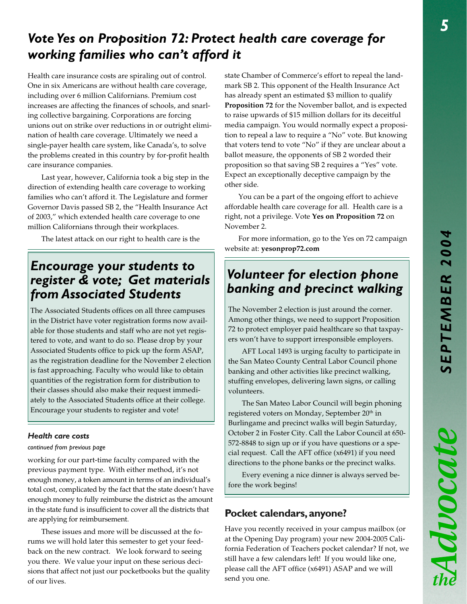Advocate

# *Vote Yes on Proposition 72: Protect health care coverage for working families who can't afford it*

Health care insurance costs are spiraling out of control. One in six Americans are without health care coverage, including over 6 million Californians. Premium cost increases are affecting the finances of schools, and snarling collective bargaining. Corporations are forcing unions out on strike over reductions in or outright elimination of health care coverage. Ultimately we need a single-payer health care system, like Canada's, to solve the problems created in this country by for-profit health care insurance companies.

Last year, however, California took a big step in the direction of extending health care coverage to working families who can't afford it. The Legislature and former Governor Davis passed SB 2, the "Health Insurance Act of 2003," which extended health care coverage to one million Californians through their workplaces.

The latest attack on our right to health care is the

# *Encourage your students to register & vote; Get materials from Associated Students*

The Associated Students offices on all three campuses in the District have voter registration forms now available for those students and staff who are not yet registered to vote, and want to do so. Please drop by your Associated Students office to pick up the form ASAP, as the registration deadline for the November 2 election is fast approaching. Faculty who would like to obtain quantities of the registration form for distribution to their classes should also make their request immediately to the Associated Students office at their college. Encourage your students to register and vote!

#### *Health care costs*

#### *continued from previous page*

working for our part-time faculty compared with the previous payment type. With either method, it's not enough money, a token amount in terms of an individual's total cost, complicated by the fact that the state doesn't have enough money to fully reimburse the district as the amount in the state fund is insufficient to cover all the districts that are applying for reimbursement.

These issues and more will be discussed at the forums we will hold later this semester to get your feedback on the new contract. We look forward to seeing you there. We value your input on these serious decisions that affect not just our pocketbooks but the quality of our lives.

state Chamber of Commerce's effort to repeal the landmark SB 2. This opponent of the Health Insurance Act has already spent an estimated \$3 million to qualify **Proposition 72** for the November ballot, and is expected to raise upwards of \$15 million dollars for its deceitful media campaign. You would normally expect a proposition to repeal a law to require a "No" vote. But knowing that voters tend to vote "No" if they are unclear about a ballot measure, the opponents of SB 2 worded their proposition so that saving SB 2 requires a "Yes" vote. Expect an exceptionally deceptive campaign by the other side.

You can be a part of the ongoing effort to achieve affordable health care coverage for all. Health care is a right, not a privilege. Vote **Yes on Proposition 72** on November 2.

For more information, go to the Yes on 72 campaign website at: **yesonprop72.com**

# *Volunteer for election phone banking and precinct walking*

The November 2 election is just around the corner. Among other things, we need to support Proposition 72 to protect employer paid healthcare so that taxpayers won't have to support irresponsible employers.

AFT Local 1493 is urging faculty to participate in the San Mateo County Central Labor Council phone banking and other activities like precinct walking, stuffing envelopes, delivering lawn signs, or calling volunteers.

The San Mateo Labor Council will begin phoning registered voters on Monday, September 20<sup>th</sup> in Burlingame and precinct walks will begin Saturday, October 2 in Foster City. Call the Labor Council at 650- 572-8848 to sign up or if you have questions or a special request. Call the AFT office (x6491) if you need directions to the phone banks or the precinct walks.

Every evening a nice dinner is always served before the work begins!

### **Pocket calendars, anyone?**

Have you recently received in your campus mailbox (or at the Opening Day program) your new 2004-2005 California Federation of Teachers pocket calendar? If not, we still have a few calendars left! If you would like one, please call the AFT office (x6491) ASAP and we will send you one.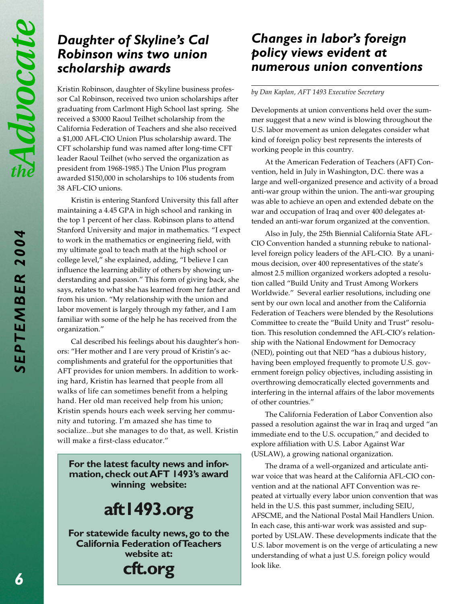# *Daughter of Skyline's Cal Robinson wins two union scholarship awards*

Kristin Robinson, daughter of Skyline business professor Cal Robinson, received two union scholarships after graduating from Carlmont High School last spring. She received a \$3000 Raoul Teilhet scholarship from the California Federation of Teachers and she also received a \$1,000 AFL-CIO Union Plus scholarship award. The CFT scholarship fund was named after long-time CFT leader Raoul Teilhet (who served the organization as president from 1968-1985.) The Union Plus program awarded \$150,000 in scholarships to 106 students from 38 AFL-CIO unions.

Kristin is entering Stanford University this fall after maintaining a 4.45 GPA in high school and ranking in the top 1 percent of her class. Robinson plans to attend Stanford University and major in mathematics. "I expect to work in the mathematics or engineering field, with my ultimate goal to teach math at the high school or college level," she explained, adding, "I believe I can influence the learning ability of others by showing understanding and passion." This form of giving back, she says, relates to what she has learned from her father and from his union. "My relationship with the union and labor movement is largely through my father, and I am familiar with some of the help he has received from the organization."

Cal described his feelings about his daughter's honors: "Her mother and I are very proud of Kristin's accomplishments and grateful for the opportunities that AFT provides for union members. In addition to working hard, Kristin has learned that people from all walks of life can sometimes benefit from a helping hand. Her old man received help from his union; Kristin spends hours each week serving her community and tutoring. I'm amazed she has time to socialize...but she manages to do that, as well. Kristin will make a first-class educator."

**For the latest faculty news and information, check out AFT 1493's award winning website:**

# **aft1493.org**

**For statewide faculty news, go to the California Federation of Teachers website at:**

**cft.org**

# *Changes in labor's foreign policy views evident at numerous union conventions*

#### *by Dan Kaplan, AFT 1493 Executive Secretary*

Developments at union conventions held over the summer suggest that a new wind is blowing throughout the U.S. labor movement as union delegates consider what kind of foreign policy best represents the interests of working people in this country.

At the American Federation of Teachers (AFT) Convention, held in July in Washington, D.C. there was a large and well-organized presence and activity of a broad anti-war group within the union. The anti-war grouping was able to achieve an open and extended debate on the war and occupation of Iraq and over 400 delegates attended an anti-war forum organized at the convention.

Also in July, the 25th Biennial California State AFL-CIO Convention handed a stunning rebuke to nationallevel foreign policy leaders of the AFL-CIO. By a unanimous decision, over 400 representatives of the state's almost 2.5 million organized workers adopted a resolution called "Build Unity and Trust Among Workers Worldwide." Several earlier resolutions, including one sent by our own local and another from the California Federation of Teachers were blended by the Resolutions Committee to create the "Build Unity and Trust" resolution. This resolution condemned the AFL-CIO's relationship with the National Endowment for Democracy (NED), pointing out that NED "has a dubious history, having been employed frequently to promote U.S. government foreign policy objectives, including assisting in overthrowing democratically elected governments and interfering in the internal affairs of the labor movements of other countries."

The California Federation of Labor Convention also passed a resolution against the war in Iraq and urged "an immediate end to the U.S. occupation," and decided to explore affiliation with U.S. Labor Against War (USLAW), a growing national organization.

The drama of a well-organized and articulate antiwar voice that was heard at the California AFL-CIO convention and at the national AFT Convention was repeated at virtually every labor union convention that was held in the U.S. this past summer, including SEIU, AFSCME, and the National Postal Mail Handlers Union. In each case, this anti-war work was assisted and supported by USLAW. These developments indicate that the U.S. labor movement is on the verge of articulating a new understanding of what a just U.S. foreign policy would look like.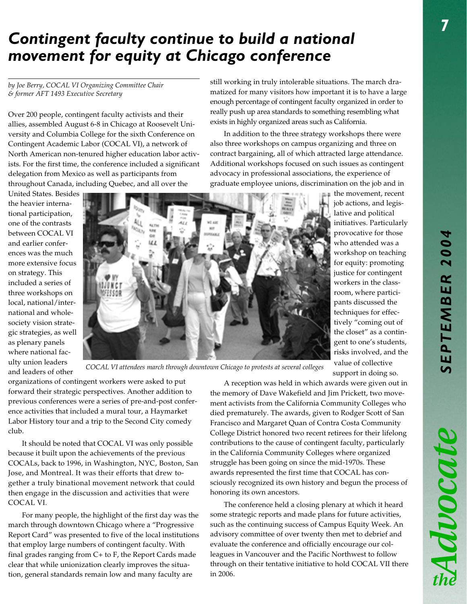Mooch

# *Contingent faculty continue to build a national movement for equity at Chicago conference*

*by Joe Berry, COCAL VI Organizing Committee Chair & former AFT 1493 Executive Secretary*

Over 200 people, contingent faculty activists and their allies, assembled August 6-8 in Chicago at Roosevelt University and Columbia College for the sixth Conference on Contingent Academic Labor (COCAL VI), a network of North American non-tenured higher education labor activists. For the first time, the conference included a significant delegation from Mexico as well as participants from throughout Canada, including Quebec, and all over the

United States. Besides the heavier international participation, one of the contrasts between COCAL VI and earlier conferences was the much more extensive focus on strategy. This included a series of three workshops on local, national/international and wholesociety vision strategic strategies, as well as plenary panels where national faculty union leaders



still working in truly intolerable situations. The march dramatized for many visitors how important it is to have a large enough percentage of contingent faculty organized in order to really push up area standards to something resembling what exists in highly organized areas such as California.

In addition to the three strategy workshops there were also three workshops on campus organizing and three on contract bargaining, all of which attracted large attendance. Additional workshops focused on such issues as contingent advocacy in professional associations, the experience of graduate employee unions, discrimination on the job and in

the movement, recent job actions, and legislative and political initiatives. Particularly provocative for those who attended was a workshop on teaching for equity: promoting justice for contingent workers in the classroom, where participants discussed the techniques for effectively "coming out of the closet" as a contingent to one's students, risks involved, and the value of collective support in doing so.

*COCAL VI attendees march through downtown Chicago to protests at several colleges* and leaders of other

organizations of contingent workers were asked to put forward their strategic perspectives. Another addition to previous conferences were a series of pre-and-post conference activities that included a mural tour, a Haymarket Labor History tour and a trip to the Second City comedy club.

It should be noted that COCAL VI was only possible because it built upon the achievements of the previous COCALs, back to 1996, in Washington, NYC, Boston, San Jose, and Montreal. It was their efforts that drew together a truly binational movement network that could then engage in the discussion and activities that were COCAL VI.

For many people, the highlight of the first day was the march through downtown Chicago where a "Progressive Report Card" was presented to five of the local institutions that employ large numbers of contingent faculty. With final grades ranging from C+ to F, the Report Cards made clear that while unionization clearly improves the situation, general standards remain low and many faculty are

A reception was held in which awards were given out in the memory of Dave Wakefield and Jim Prickett, two movement activists from the California Community Colleges who died prematurely. The awards, given to Rodger Scott of San Francisco and Margaret Quan of Contra Costa Community College District honored two recent retirees for their lifelong contributions to the cause of contingent faculty, particularly in the California Community Colleges where organized struggle has been going on since the mid-1970s. These awards represented the first time that COCAL has consciously recognized its own history and begun the process of honoring its own ancestors.

The conference held a closing plenary at which it heard some strategic reports and made plans for future activities, such as the continuing success of Campus Equity Week. An advisory committee of over twenty then met to debrief and evaluate the conference and officially encourage our colleagues in Vancouver and the Pacific Northwest to follow through on their tentative initiative to hold COCAL VII there in 2006.